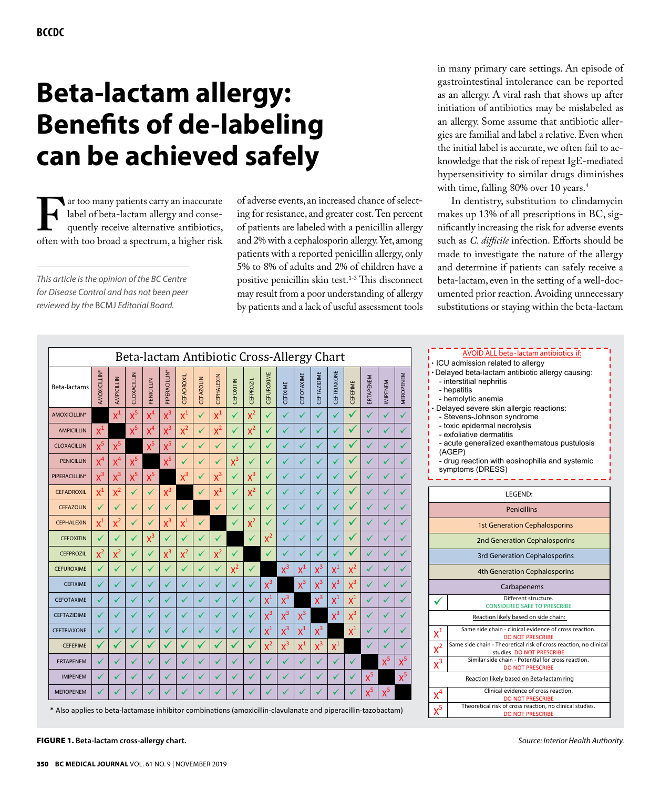# **Beta-lactam allergy: Benefits of de-labeling can be achieved safely**

Far too many patients carry an inaccurate label of beta-lactam allergy and consequently receive alternative antibiotics, often with too broad a spectrum, a higher risk label of beta-lactam allergy and consequently receive alternative antibiotics,

*This article is the opinion of the BC Centre for Disease Control and has not been peer reviewed by the* BCMJ *Editorial Board.*

of adverse events, an increased chance of selecting for resistance, and greater cost. Ten percent of patients are labeled with a penicillin allergy and 2% with a cephalosporin allergy. Yet, among patients with a reported penicillin allergy, only 5% to 8% of adults and 2% of children have a positive penicillin skin test.1-3 This disconnect may result from a poor understanding of allergy by patients and a lack of useful assessment tools

in many primary care settings. An episode of gastrointestinal intolerance can be reported as an allergy. A viral rash that shows up after initiation of antibiotics may be mislabeled as an allergy. Some assume that antibiotic allergies are familial and label a relative. Even when the initial label is accurate, we often fail to acknowledge that the risk of repeat IgE-mediated hypersensitivity to similar drugs diminishes with time, falling 80% over 10 years.<sup>4</sup>

In dentistry, substitution to clindamycin makes up 13% of all prescriptions in BC, significantly increasing the risk for adverse events such as *C. difficile* infection. Efforts should be made to investigate the nature of the allergy and determine if patients can safely receive a beta-lactam, even in the setting of a well-documented prior reaction. Avoiding unnecessary substitutions or staying within the beta-lactam

|                                                                                                               |                           |                |              |              | Beta-lactam Antibiotic Cross-Allergy Chart |                   |                  |                           |           |                  |              |              |                |                    |             |                |           |                |           | AVOID ALL beta-lactam antibiotics if:<br>· ICU admission related to allergy                                      |
|---------------------------------------------------------------------------------------------------------------|---------------------------|----------------|--------------|--------------|--------------------------------------------|-------------------|------------------|---------------------------|-----------|------------------|--------------|--------------|----------------|--------------------|-------------|----------------|-----------|----------------|-----------|------------------------------------------------------------------------------------------------------------------|
| Beta-lactams                                                                                                  | AMOXICILLIN <sup>®</sup>  | AMPICILLIN     | CLOXACILLIN  | PENICILLIN   | PIPERACILLIN'                              | <b>CEFADROXIL</b> | <b>CEFAZOLIN</b> | CEPHALEXIN                | CEFOXITIN | <b>CEFPROZIL</b> | CEFUROXIME   | CEFIXIME     | CEFOTAXIME     | <b>CEFTAZIDIME</b> | CEFTRIAXONE | CEFEPIME       | ERTAPENEM | <b>IMPENEM</b> | MEROPENEM | Delayed beta-lactam antibiotic allergy causing:<br>- interstitial nephritis<br>- hepatitis<br>- hemolytic anemia |
| AMOXICILLIN <sup>*</sup>                                                                                      |                           | $\mathsf{X}^1$ | $x^5$        |              | $x^3$                                      | $x^1$             | ✓                | $\mathsf{x}^{\mathsf{1}}$ |           | $x^2$            |              | ✓            |                |                    |             | $\checkmark$   | ✓         |                | ✓         | Delayed severe skin allergic reactions:<br>- Stevens-Johnson syndrome                                            |
| <b>AMPICILLIN</b>                                                                                             | $\mathsf{x}^{\mathsf{1}}$ |                | $X^5$        |              | $x^3$                                      | $x^2$             | ✓                | $x^2$                     |           | $x^2$            | $\checkmark$ | $\mathcal V$ |                |                    |             | ✓              | ✓         |                |           | - toxic epidermal necrolysis<br>- exfoliative dermatitis                                                         |
| <b>CLOXACILLIN</b>                                                                                            | $x^5$                     | $x^5$          |              | $x^5$        | $X^5$                                      |                   |                  | ✓                         |           |                  |              | ✓            |                |                    |             | $\sqrt{ }$     | V         |                |           | - acute generalized exanthematous pustulosis<br>(AGEP)                                                           |
| <b>PENICILLIN</b>                                                                                             | $X^4$                     | X <sup>4</sup> | $X^5$        |              | $X^5$                                      |                   |                  | ✓                         | $x^3$     |                  |              | ✓            |                |                    |             |                | V         |                |           | - drug reaction with eosinophilia and systemic                                                                   |
| PIPERACILLIN*                                                                                                 | $x^3$                     | $x^3$          | $x^5$        | $x^5$        |                                            | $x^3$             | v                | $x^3$                     | v         | $x^3$            |              | ✓            |                |                    |             |                | ✓         |                |           | symptoms (DRESS)                                                                                                 |
| <b>CEFADROXIL</b>                                                                                             | $\chi^1$                  | $X^2$          | $\checkmark$ | $\checkmark$ | $x^3$                                      |                   |                  | $\mathsf{X}^1$            |           | $x^2$            |              | ✓            |                |                    |             |                |           |                |           | LEGEND:                                                                                                          |
| <b>CEFAZOLIN</b>                                                                                              |                           | $\checkmark$   | ✓            | ✓            |                                            |                   |                  |                           |           |                  |              | ✓            |                |                    |             |                |           |                |           | Penicillins                                                                                                      |
| <b>CEPHALEXIN</b>                                                                                             | $\mathsf{X}^1$            | $X^2$          |              |              | $X^3$                                      | $\mathsf{X}^1$    |                  |                           |           | $x^2$            |              |              |                |                    |             |                |           |                |           | <b>1st Generation Cephalosporins</b>                                                                             |
| <b>CEFOXITIN</b>                                                                                              |                           | ✓              | ✓            | $x^3$        |                                            |                   |                  |                           |           |                  | $x^2$        | ✓            | $\checkmark$   |                    |             |                | ✓         |                |           | 2nd Generation Cephalosporins                                                                                    |
| <b>CEFPROZIL</b>                                                                                              | $X^2$                     | $X^2$          | ✓            | ✓            | $\sqrt{3}$                                 | $X^2$             | ✓                | $x^2$                     | ✓         |                  |              | ✓            |                |                    |             | ✔              | ✓         |                | ✓         | 3rd Generation Cephalosporins                                                                                    |
| <b>CEFUROXIME</b>                                                                                             |                           | $\checkmark$   | ✓            |              |                                            |                   |                  | ✓                         | $x^2$     | ✓                |              | $X^3$        | $X^1$          | $X^3$              | $X^1$       | $x^2$          | ✓         |                |           | 4th Generation Cephalosporins                                                                                    |
| <b>CEFIXIME</b>                                                                                               |                           | ✓              |              |              |                                            | ✓                 |                  | v                         |           |                  | $x^3$        |              | $x^3$          | $X^3$              | $x^3$       | $x^3$          |           |                |           | Carbapenems                                                                                                      |
| <b>CEFOTAXIME</b>                                                                                             |                           |                |              |              |                                            |                   |                  |                           |           |                  | $x^1$        | $x^3$        |                | $X^3$              | $x^1$       | $x^1$          |           |                |           | Different structure.<br><b>CONSIDERED SAFE TO PRESCRIBE</b>                                                      |
| <b>CEFTAZIDIME</b>                                                                                            |                           | ✓              | ✓            | ✓            |                                            | ✓                 |                  | ✓                         |           |                  | $X^3$        | $X^3$        | $X^3$          |                    | $X^3$       | $\mathsf{x}^3$ | ୰         |                |           | Reaction likely based on side chain:                                                                             |
| <b>CEFTRIAXONE</b>                                                                                            |                           | ✓              |              |              |                                            |                   |                  | ✓                         |           |                  | $X^1$        | $x^3$        | $\mathsf{X}^1$ | $X^3$              |             | $X^1$          |           |                |           | Same side chain - clinical evidence of cross reaction.<br>$\mathsf{X}^1$<br><b>DO NOT PRESCRIBE</b>              |
| <b>CEFEPIME</b>                                                                                               |                           |                | ✓            | v            |                                            |                   |                  |                           |           |                  | $x^2$        | $x^3$        | $x^1$          | $x^3$              | $x^1$       |                | ✓         |                |           | Same side chain - Theoretical risk of cross reaction, no clinica<br>$\chi^2$<br>studies. DO NOT PRESCRIBE        |
| <b>ERTAPENEM</b>                                                                                              |                           |                |              |              |                                            |                   |                  |                           |           |                  |              | ✓            |                |                    |             |                |           | $X^5$          | $X^5$     | Similar side chain - Potential for cross reaction.<br>$\sqrt{3}$<br><b>DO NOT PRESCRIBE</b>                      |
| <b>IMIPENEM</b>                                                                                               |                           | $\mathbf{v}$   | ✓            | √            |                                            |                   |                  | ✓                         |           |                  | ✓            | ✓            |                |                    |             | ✓              | $X^5$     |                | $X^5$     | Reaction likely based on Beta-lactam ring                                                                        |
| <b>MEROPENEM</b>                                                                                              |                           | ✓              | ✓            |              |                                            |                   |                  | ✓                         |           |                  | ✓            | ✓            |                |                    |             | ✓              | $X^5$     | $X^5$          |           | Clinical evidence of cross reaction.<br>$X^4$<br><b>DO NOT PRESCRIBE</b>                                         |
| * Also applies to beta-lactamase inhibitor combinations (amoxicillin-clavulanate and piperacillin-tazobactam) |                           |                |              |              |                                            |                   |                  |                           |           |                  |              |              |                |                    |             |                |           |                |           | Theoretical risk of cross reaction, no clinical studies.<br>$X^5$<br><b>DO NOT PRESCRIBE</b>                     |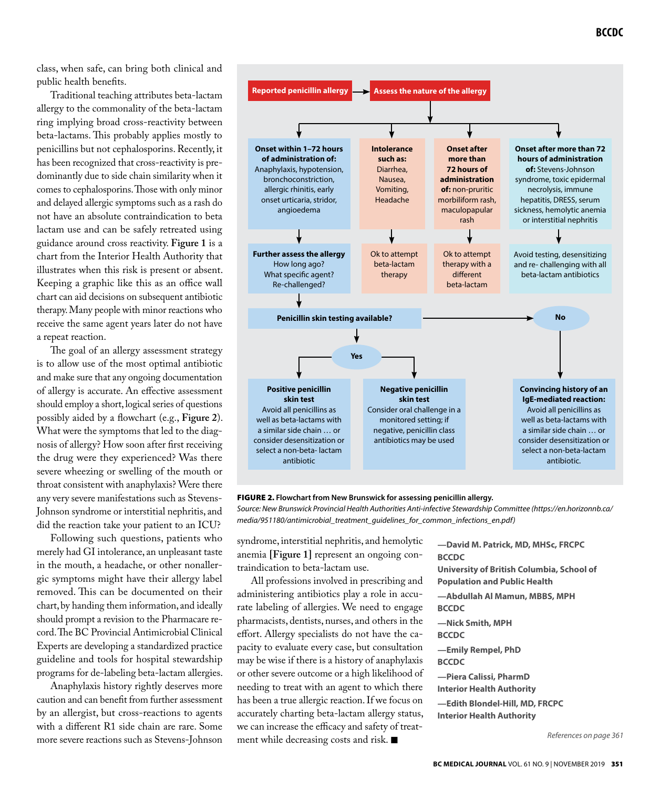class, when safe, can bring both clinical and public health benefits.

Traditional teaching attributes beta-lactam allergy to the commonality of the beta-lactam ring implying broad cross-reactivity between beta-lactams. This probably applies mostly to penicillins but not cephalosporins. Recently, it has been recognized that cross-reactivity is predominantly due to side chain similarity when it comes to cephalosporins. Those with only minor and delayed allergic symptoms such as a rash do not have an absolute contraindication to beta lactam use and can be safely retreated using guidance around cross reactivity. **Figure 1** is a chart from the Interior Health Authority that illustrates when this risk is present or absent. Keeping a graphic like this as an office wall chart can aid decisions on subsequent antibiotic therapy. Many people with minor reactions who receive the same agent years later do not have a repeat reaction.

The goal of an allergy assessment strategy is to allow use of the most optimal antibiotic and make sure that any ongoing documentation of allergy is accurate. An effective assessment should employ a short, logical series of questions possibly aided by a flowchart (e.g., **Figure 2**). What were the symptoms that led to the diagnosis of allergy? How soon after first receiving the drug were they experienced? Was there severe wheezing or swelling of the mouth or throat consistent with anaphylaxis? Were there any very severe manifestations such as Stevens-Johnson syndrome or interstitial nephritis, and did the reaction take your patient to an ICU?

Following such questions, patients who merely had GI intolerance, an unpleasant taste in the mouth, a headache, or other nonallergic symptoms might have their allergy label removed. This can be documented on their chart, by handing them information, and ideally should prompt a revision to the Pharmacare record. The BC Provincial Antimicrobial Clinical Experts are developing a standardized practice guideline and tools for hospital stewardship programs for de-labeling beta-lactam allergies.

Anaphylaxis history rightly deserves more caution and can benefit from further assessment by an allergist, but cross-reactions to agents with a different R1 side chain are rare. Some more severe reactions such as Stevens-Johnson



FIGURE 2. Flowchart from New Brunswick for assessing penicillin allergy.

*Source: New Brunswick Provincial Health Authorities Anti-infective Stewardship Committee (https://en.horizonnb.ca/ media/951180/antimicrobial\_treatment\_guidelines\_for\_common\_infections\_en.pdf)*

syndrome, interstitial nephritis, and hemolytic anemia **[Figure 1]** represent an ongoing contraindication to beta-lactam use.

All professions involved in prescribing and administering antibiotics play a role in accurate labeling of allergies. We need to engage pharmacists, dentists, nurses, and others in the effort. Allergy specialists do not have the capacity to evaluate every case, but consultation may be wise if there is a history of anaphylaxis or other severe outcome or a high likelihood of needing to treat with an agent to which there has been a true allergic reaction. If we focus on accurately charting beta-lactam allergy status, we can increase the efficacy and safety of treatment while decreasing costs and risk.  $\blacksquare$ 

**—David M. Patrick, MD, MHSc, FRCPC BCCDC University of British Columbia, School of Population and Public Health —Abdullah Al Mamun, MBBS, MPH BCCDC —Nick Smith, MPH BCCDC —Emily Rempel, PhD BCCDC —Piera Calissi, PharmD Interior Health Authority —Edith Blondel-Hill, MD, FRCPC Interior Health Authority**

*References on page 361*